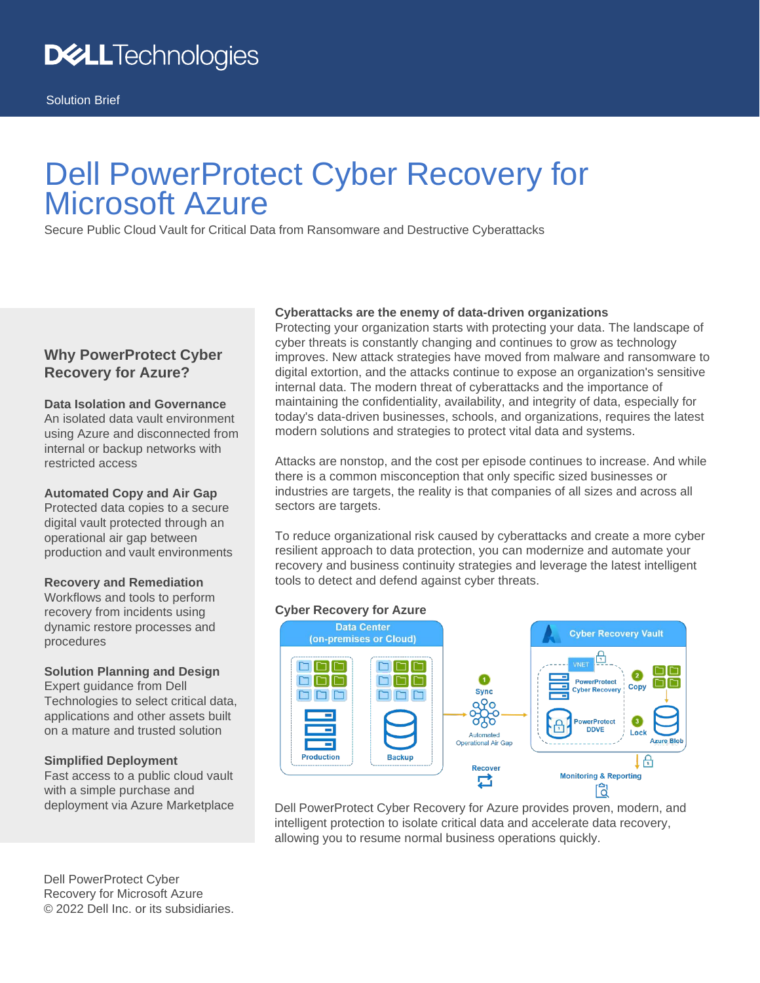# Dell PowerProtect Cyber Recovery for Microsoft Azure

Secure Public Cloud Vault for Critical Data from Ransomware and Destructive Cyberattacks

## **Why PowerProtect Cyber Recovery for Azure?**

### **Data Isolation and Governance**

An isolated data vault environment using Azure and disconnected from internal or backup networks with restricted access

#### **Automated Copy and Air Gap**

Protected data copies to a secure digital vault protected through an operational air gap between production and vault environments

#### **Recovery and Remediation**

Workflows and tools to perform recovery from incidents using dynamic restore processes and procedures

#### **Solution Planning and Design**

Expert guidance from Dell Technologies to select critical data, applications and other assets built on a mature and trusted solution

#### **Simplified Deployment**

Fast access to a public cloud vault with a simple purchase and deployment via Azure Marketplace

Dell PowerProtect Cyber Recovery for Microsoft Azure © 2022 Dell Inc. or its subsidiaries.

#### **Cyberattacks are the enemy of data-driven organizations**

Protecting your organization starts with protecting your data. The landscape of cyber threats is constantly changing and continues to grow as technology improves. New attack strategies have moved from malware and ransomware to digital extortion, and the attacks continue to expose an organization's sensitive internal data. The modern threat of cyberattacks and the importance of maintaining the confidentiality, availability, and integrity of data, especially for today's data-driven businesses, schools, and organizations, requires the latest modern solutions and strategies to protect vital data and systems.

Attacks are nonstop, and the cost per episode continues to increase. And while there is a common misconception that only specific sized businesses or industries are targets, the reality is that companies of all sizes and across all sectors are targets.

To reduce organizational risk caused by cyberattacks and create a more cyber resilient approach to data protection, you can modernize and automate your recovery and business continuity strategies and leverage the latest intelligent tools to detect and defend against cyber threats.

#### **Cyber Recovery for Azure**



Dell PowerProtect Cyber Recovery for Azure provides proven, modern, and intelligent protection to isolate critical data and accelerate data recovery, allowing you to resume normal business operations quickly.